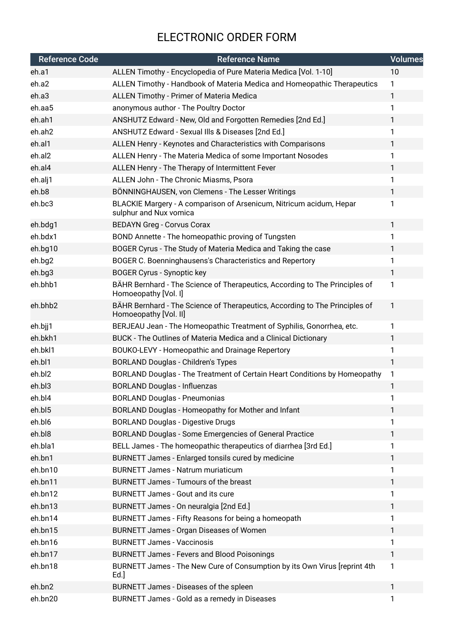## ELECTRONIC ORDER FORM

| <b>Reference Code</b> | <b>Reference Name</b>                                                                                | <b>Volumes</b> |
|-----------------------|------------------------------------------------------------------------------------------------------|----------------|
| eh.a1                 | ALLEN Timothy - Encyclopedia of Pure Materia Medica [Vol. 1-10]                                      | 10             |
| eh.a2                 | ALLEN Timothy - Handbook of Materia Medica and Homeopathic Therapeutics                              | $\mathbf{1}$   |
| eh.a3                 | ALLEN Timothy - Primer of Materia Medica                                                             | $\mathbf{1}$   |
| eh.aa5                | anonymous author - The Poultry Doctor                                                                | $\mathbf{1}$   |
| eh.ah1                | ANSHUTZ Edward - New, Old and Forgotten Remedies [2nd Ed.]                                           | 1              |
| eh.ah2                | ANSHUTZ Edward - Sexual IIIs & Diseases [2nd Ed.]                                                    | 1              |
| eh.al1                | ALLEN Henry - Keynotes and Characteristics with Comparisons                                          | $\mathbf{1}$   |
| eh.al2                | ALLEN Henry - The Materia Medica of some Important Nosodes                                           | 1              |
| eh.al4                | ALLEN Henry - The Therapy of Intermittent Fever                                                      | $\mathbf{1}$   |
| eh.alj1               | ALLEN John - The Chronic Miasms, Psora                                                               | 1              |
| eh.b8                 | BÖNNINGHAUSEN, von Clemens - The Lesser Writings                                                     | $\mathbf{1}$   |
| eh.bc3                | BLACKIE Margery - A comparison of Arsenicum, Nitricum acidum, Hepar<br>sulphur and Nux vomica        | 1              |
| eh.bdg1               | <b>BEDAYN Greg - Corvus Corax</b>                                                                    | $\mathbf{1}$   |
| eh.bdx1               | BOND Annette - The homeopathic proving of Tungsten                                                   | 1              |
| eh.bg10               | BOGER Cyrus - The Study of Materia Medica and Taking the case                                        | 1              |
| eh.bg2                | BOGER C. Boenninghausens's Characteristics and Repertory                                             | 1              |
| eh.bg3                | <b>BOGER Cyrus - Synoptic key</b>                                                                    | $\mathbf{1}$   |
| eh.bhb1               | BÄHR Bernhard - The Science of Therapeutics, According to The Principles of<br>Homoeopathy [Vol. I]  | 1              |
| eh.bhb2               | BÄHR Bernhard - The Science of Therapeutics, According to The Principles of<br>Homoeopathy [Vol. II] | 1              |
| eh.bjj1               | BERJEAU Jean - The Homeopathic Treatment of Syphilis, Gonorrhea, etc.                                | 1              |
| eh.bkh1               | BUCK - The Outlines of Materia Medica and a Clinical Dictionary                                      | 1              |
| eh.bkl1               | <b>BOUKO-LEVY - Homeopathic and Drainage Repertory</b>                                               | 1              |
| eh.bl1                | <b>BORLAND Douglas - Children's Types</b>                                                            | $\mathbf{1}$   |
| eh.bl2                | BORLAND Douglas - The Treatment of Certain Heart Conditions by Homeopathy                            | $\mathbf{1}$   |
| eh.bl3                | <b>BORLAND Douglas - Influenzas</b>                                                                  | 1              |
| eh.bl4                | <b>BORLAND Douglas - Pneumonias</b>                                                                  | 1              |
| eh.bl5                | BORLAND Douglas - Homeopathy for Mother and Infant                                                   | $\mathbf{1}$   |
| eh.bl6                | <b>BORLAND Douglas - Digestive Drugs</b>                                                             | $\mathbf{1}$   |
| eh.bl8                | BORLAND Douglas - Some Emergencies of General Practice                                               | $\mathbf{1}$   |
| eh.bla1               | BELL James - The homeopathic therapeutics of diarrhea [3rd Ed.]                                      | 1              |
| eh.bn1                | BURNETT James - Enlarged tonsils cured by medicine                                                   | $\mathbf{1}$   |
| eh.bn10               | <b>BURNETT James - Natrum muriaticum</b>                                                             | 1              |
| eh.bn11               | BURNETT James - Tumours of the breast                                                                | 1              |
| eh.bn12               | <b>BURNETT James - Gout and its cure</b>                                                             | 1              |
| eh.bn13               | BURNETT James - On neuralgia [2nd Ed.]                                                               | $\mathbf{1}$   |
| eh.bn14               | BURNETT James - Fifty Reasons for being a homeopath                                                  | 1              |
| eh.bn15               | BURNETT James - Organ Diseases of Women                                                              | 1              |
| eh.bn16               | <b>BURNETT James - Vaccinosis</b>                                                                    | 1              |
| eh.bn17               | <b>BURNETT James - Fevers and Blood Poisonings</b>                                                   | $\mathbf{1}$   |
| eh.bn18               | BURNETT James - The New Cure of Consumption by its Own Virus [reprint 4th<br>Ed.]                    | $\mathbf{1}$   |
| eh.bn2                | BURNETT James - Diseases of the spleen                                                               | $\mathbf{1}$   |
| eh.bn20               | BURNETT James - Gold as a remedy in Diseases                                                         | 1              |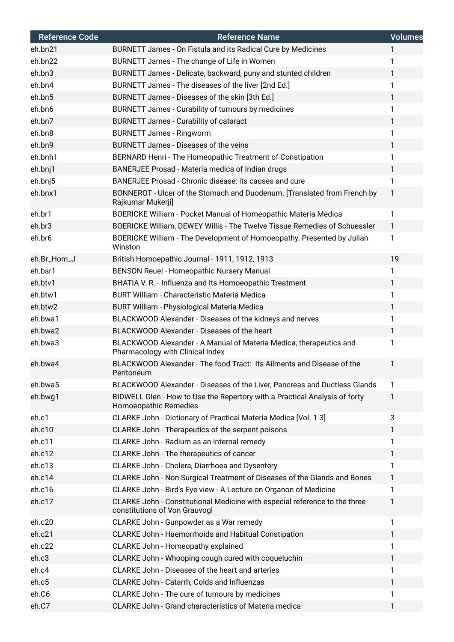| <b>Reference Code</b> | <b>Reference Name</b>                                                                                       | <b>Volumes</b> |
|-----------------------|-------------------------------------------------------------------------------------------------------------|----------------|
| eh.bn21               | BURNETT James - On Fistula and its Radical Cure by Medicines                                                | 1              |
| eh.bn22               | BURNETT James - The change of Life in Women                                                                 | 1              |
| eh.bn3                | BURNETT James - Delicate, backward, puny and stunted children                                               | 1              |
| eh.bn4                | BURNETT James - The diseases of the liver [2nd Ed.]                                                         | 1              |
| eh.bn5                | BURNETT James - Diseases of the skin [3th Ed.]                                                              | 1              |
| eh.bn6                | BURNETT James - Curability of tumours by medicines                                                          | 1              |
| eh.bn7                | <b>BURNETT James - Curability of cataract</b>                                                               | 1              |
| eh.bn8                | <b>BURNETT James - Ringworm</b>                                                                             | 1              |
| eh.bn9                | <b>BURNETT James - Diseases of the veins</b>                                                                | 1              |
| eh.bnh1               | BERNARD Henri - The Homeopathic Treatment of Constipation                                                   | 1              |
| eh.bnj1               | BANERJEE Prosad - Materia medica of Indian drugs                                                            | 1              |
| eh.bnj5               | BANERJEE Prosad - Chronic disease: its causes and cure                                                      | 1              |
| eh.bnx1               | BONNEROT - Ulcer of the Stomach and Duodenum. [Translated from French by<br>Rajkumar Mukerji]               | 1              |
| eh.br1                | BOERICKE William - Pocket Manual of Homeopathic Materia Medica                                              | 1              |
| eh.br3                | BOERICKE William, DEWEY Willis - The Twelve Tissue Remedies of Schuessler                                   | 1              |
| eh.br6                | BOERICKE William - The Development of Homoeopathy. Presented by Julian<br>Winston                           | 1              |
| eh.Br_Hom_J           | British Homoepathic Journal - 1911, 1912, 1913                                                              | 19             |
| eh.bsr1               | BENSON Reuel - Homeopathic Nursery Manual                                                                   | 1              |
| eh.btv1               | BHATIA V. R. - Influenza and Its Homoeopathic Treatment                                                     | 1              |
| eh.btw1               | <b>BURT William - Characteristic Materia Medica</b>                                                         | 1              |
| eh.btw2               | <b>BURT William - Physiological Materia Medica</b>                                                          | 1              |
| eh.bwa1               | BLACKWOOD Alexander - Diseases of the kidneys and nerves                                                    | 1              |
| eh.bwa2               | BLACKWOOD Alexander - Diseases of the heart                                                                 | 1              |
| eh.bwa3               | BLACKWOOD Alexander - A Manual of Materia Medica, therapeutics and<br>Pharmacology with Clinical Index      | 1              |
| eh.bwa4               | BLACKWOOD Alexander - The food Tract: Its Ailments and Disease of the<br>Peritoneum                         | 1              |
| eh.bwa5               | BLACKWOOD Alexander - Diseases of the Liver, Pancreas and Ductless Glands                                   | 1              |
| eh.bwg1               | BIDWELL Glen - How to Use the Repertory with a Practical Analysis of forty<br>Homoeopathic Remedies         | 1              |
| eh.c1                 | CLARKE John - Dictionary of Practical Materia Medica [Vol. 1-3]                                             | 3              |
| eh.c10                | CLARKE John - Therapeutics of the serpent poisons                                                           | 1              |
| eh.c11                | CLARKE John - Radium as an internal remedy                                                                  | 1              |
| eh.c12                | CLARKE John - The therapeutics of cancer                                                                    | 1              |
| eh.c13                | CLARKE John - Cholera, Diarrhoea and Dysentery                                                              | 1              |
| eh.c14                | CLARKE John - Non Surgical Treatment of Diseases of the Glands and Bones                                    | 1              |
| eh.c16                | CLARKE John - Bird's Eye view - A Lecture on Organon of Medicine                                            | 1              |
| eh.c17                | CLARKE John - Constitutional Medicine with especial reference to the three<br>constitutions of Von Grauvogl | 1              |
| eh.c20                | CLARKE John - Gunpowder as a War remedy                                                                     | 1              |
| eh.c21                | CLARKE John - Haemorrhoids and Habitual Constipation                                                        | 1              |
| eh.c22                | CLARKE John - Homeopathy explained                                                                          | 1              |
| eh.c3                 | CLARKE John - Whooping cough cured with coqueluchin                                                         | 1              |
| eh.c4                 | CLARKE John - Diseases of the heart and arteries                                                            | 1              |
| eh.c5                 | CLARKE John - Catarrh, Colds and Influenzas                                                                 | 1              |
| eh.C6                 | CLARKE John - The cure of tumours by medicines                                                              | 1              |
| eh.C7                 | CLARKE John - Grand characteristics of Materia medica                                                       | 1              |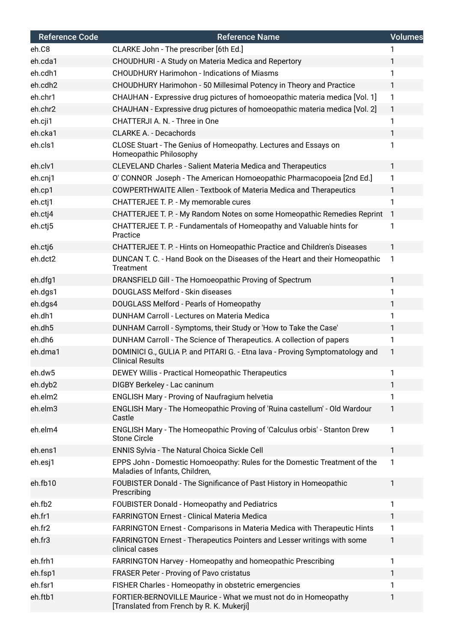| <b>Reference Code</b> | <b>Reference Name</b>                                                                                       | <b>Volumes</b> |
|-----------------------|-------------------------------------------------------------------------------------------------------------|----------------|
| eh.C8                 | CLARKE John - The prescriber [6th Ed.]                                                                      |                |
| eh.cda1               | CHOUDHURI - A Study on Materia Medica and Repertory                                                         | 1              |
| eh.cdh1               | <b>CHOUDHURY Harimohon - Indications of Miasms</b>                                                          | 1              |
| eh.cdh2               | CHOUDHURY Harimohon - 50 Millesimal Potency in Theory and Practice                                          | 1              |
| eh.chr1               | CHAUHAN - Expressive drug pictures of homoeopathic materia medica [Vol. 1]                                  | 1              |
| eh.chr2               | CHAUHAN - Expressive drug pictures of homoeopathic materia medica [Vol. 2]                                  | $\mathbf{1}$   |
| eh.cji1               | CHATTERJI A. N. - Three in One                                                                              | 1              |
| eh.cka1               | <b>CLARKE A. - Decachords</b>                                                                               | 1              |
| eh.cls1               | CLOSE Stuart - The Genius of Homeopathy. Lectures and Essays on<br>Homeopathic Philosophy                   | 1              |
| eh.clv1               | <b>CLEVELAND Charles - Salient Materia Medica and Therapeutics</b>                                          | 1              |
| eh.cnj1               | O' CONNOR Joseph - The American Homoeopathic Pharmacopoeia [2nd Ed.]                                        | 1.             |
| eh.cp1                | COWPERTHWAITE Allen - Textbook of Materia Medica and Therapeutics                                           | 1              |
| eh.ctj1               | CHATTERJEE T. P. - My memorable cures                                                                       | 1              |
| eh.ctj4               | CHATTERJEE T. P. - My Random Notes on some Homeopathic Remedies Reprint                                     | $\mathbf{1}$   |
| eh.ctj5               | CHATTERJEE T. P. - Fundamentals of Homeopathy and Valuable hints for<br>Practice                            | 1              |
| eh.ctj6               | CHATTERJEE T. P. - Hints on Homeopathic Practice and Children's Diseases                                    | $\mathbf{1}$   |
| eh.dct2               | DUNCAN T. C. - Hand Book on the Diseases of the Heart and their Homeopathic<br>Treatment                    | 1              |
| eh.dfg1               | DRANSFIELD Gill - The Homoeopathic Proving of Spectrum                                                      | 1              |
| eh.dgs1               | DOUGLASS Melford - Skin diseases                                                                            | 1              |
| eh.dgs4               | DOUGLASS Melford - Pearls of Homeopathy                                                                     | $\mathbf{1}$   |
| eh.dh1                | DUNHAM Carroll - Lectures on Materia Medica                                                                 | 1              |
| eh.dh5                | DUNHAM Carroll - Symptoms, their Study or 'How to Take the Case'                                            | 1              |
| eh.dh6                | DUNHAM Carroll - The Science of Therapeutics. A collection of papers                                        | 1              |
| eh.dma1               | DOMINICI G., GULIA P. and PITARI G. - Etna lava - Proving Symptomatology and<br><b>Clinical Results</b>     | 1              |
| eh.dw5                | DEWEY Willis - Practical Homeopathic Therapeutics                                                           | 1              |
| eh.dyb2               | DIGBY Berkeley - Lac caninum                                                                                | 1              |
| eh.elm2               | <b>ENGLISH Mary - Proving of Naufragium helvetia</b>                                                        | 1              |
| eh.elm3               | ENGLISH Mary - The Homeopathic Proving of 'Ruina castellum' - Old Wardour<br>Castle                         | 1              |
| eh.elm4               | ENGLISH Mary - The Homeopathic Proving of 'Calculus orbis' - Stanton Drew<br><b>Stone Circle</b>            | 1              |
| eh.ens1               | <b>ENNIS Sylvia - The Natural Choica Sickle Cell</b>                                                        | 1              |
| eh.esj1               | EPPS John - Domestic Homoeopathy: Rules for the Domestic Treatment of the<br>Maladies of Infants, Children, | 1              |
| eh.fb10               | FOUBISTER Donald - The Significance of Past History in Homeopathic<br>Prescribing                           | 1              |
| eh.fb2                | FOUBISTER Donald - Homeopathy and Pediatrics                                                                | 1              |
| eh.fr1                | <b>FARRINGTON Ernest - Clinical Materia Medica</b>                                                          | 1              |
| eh.fr2                | FARRINGTON Ernest - Comparisons in Materia Medica with Therapeutic Hints                                    | 1              |
| eh.fr3                | FARRINGTON Ernest - Therapeutics Pointers and Lesser writings with some<br>clinical cases                   | 1              |
| eh.frh1               | FARRINGTON Harvey - Homeopathy and homeopathic Prescribing                                                  | 1              |
| eh.fsp1               | FRASER Peter - Proving of Pavo cristatus                                                                    | 1              |
| eh.fsr1               | FISHER Charles - Homeopathy in obstetric emergencies                                                        | 1              |
| eh.ftb1               | FORTIER-BERNOVILLE Maurice - What we must not do in Homeopathy<br>[Translated from French by R. K. Mukerji] | 1              |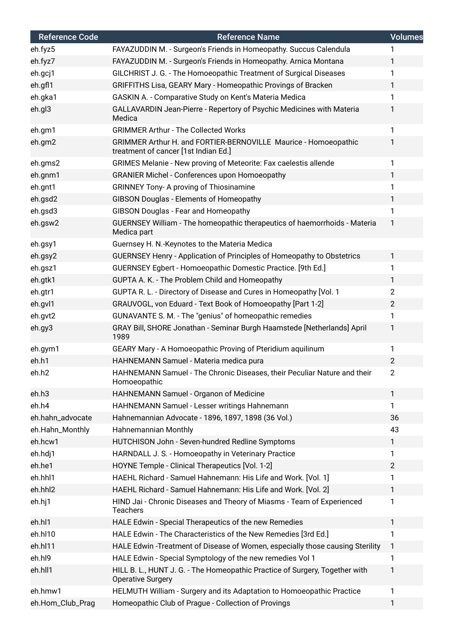| <b>Reference Code</b> | <b>Reference Name</b>                                                                                   | <b>Volumes</b> |
|-----------------------|---------------------------------------------------------------------------------------------------------|----------------|
| eh.fyz5               | FAYAZUDDIN M. - Surgeon's Friends in Homeopathy. Succus Calendula                                       | 1              |
| eh.fyz7               | FAYAZUDDIN M. - Surgeon's Friends in Homeopathy. Arnica Montana                                         | 1              |
| eh.gcj1               | GILCHRIST J. G. - The Homoeopathic Treatment of Surgical Diseases                                       | 1              |
| eh.gfl1               | GRIFFITHS Lisa, GEARY Mary - Homeopathic Provings of Bracken                                            | 1              |
| eh.gka1               | GASKIN A. - Comparative Study on Kent's Materia Medica                                                  | 1              |
| eh.gl3                | GALLAVARDIN Jean-Pierre - Repertory of Psychic Medicines with Materia<br>Medica                         | 1              |
| eh.gm1                | <b>GRIMMER Arthur - The Collected Works</b>                                                             | $\mathbf{1}$   |
| eh.gm2                | GRIMMER Arthur H. and FORTIER-BERNOVILLE Maurice - Homoeopathic<br>treatment of cancer [1st Indian Ed.] | 1              |
| eh.gms2               | GRIMES Melanie - New proving of Meteorite: Fax caelestis allende                                        | 1              |
| eh.gnm1               | <b>GRANIER Michel - Conferences upon Homoeopathy</b>                                                    | 1              |
| eh.gnt1               | <b>GRINNEY Tony-A proving of Thiosinamine</b>                                                           | $\mathbf{1}$   |
| eh.gsd2               | GIBSON Douglas - Elements of Homeopathy                                                                 | 1              |
| eh.gsd3               | GIBSON Douglas - Fear and Homeopathy                                                                    | $\mathbf{1}$   |
| eh.gsw2               | GUERNSEY William - The homeopathic therapeutics of haemorrhoids - Materia<br>Medica part                | $\mathbf{1}$   |
| eh.gsy1               | Guernsey H. N.-Keynotes to the Materia Medica                                                           |                |
| eh.gsy2               | GUERNSEY Henry - Application of Principles of Homeopathy to Obstetrics                                  | $\mathbf{1}$   |
| eh.gsz1               | GUERNSEY Egbert - Homoeopathic Domestic Practice. [9th Ed.]                                             | 1              |
| eh.gtk1               | GUPTA A. K. - The Problem Child and Homeopathy                                                          | $\mathbf{1}$   |
| eh.gtr1               | GUPTA R. L. - Directory of Disease and Cures in Homeopathy [Vol. 1                                      | $\overline{2}$ |
| eh.gvl1               | GRAUVOGL, von Eduard - Text Book of Homoeopathy [Part 1-2]                                              | $\overline{2}$ |
| eh.gvt2               | GUNAVANTE S. M. - The "genius" of homeopathic remedies                                                  | 1              |
| eh.gy3                | GRAY Bill, SHORE Jonathan - Seminar Burgh Haamstede [Netherlands] April<br>1989                         | 1              |
| eh.gym1               | GEARY Mary - A Homoeopathic Proving of Pteridium aquilinum                                              | 1              |
| eh.h1                 | HAHNEMANN Samuel - Materia medica pura                                                                  | $\overline{2}$ |
| eh.h2                 | HAHNEMANN Samuel - The Chronic Diseases, their Peculiar Nature and their<br>Homoeopathic                | $\mathbf{z}$   |
| eh.h3                 | HAHNEMANN Samuel - Organon of Medicine                                                                  | $\mathbf{1}$   |
| eh.h4                 | HAHNEMANN Samuel - Lesser writings Hahnemann                                                            | 1              |
| eh.hahn_advocate      | Hahnemannian Advocate - 1896, 1897, 1898 (36 Vol.)                                                      | 36             |
| eh.Hahn_Monthly       | Hahnemannian Monthly                                                                                    | 43             |
| eh.hcw1               | HUTCHISON John - Seven-hundred Redline Symptoms                                                         | $\mathbf{1}$   |
| eh.hdj1               | HARNDALL J. S. - Homoeopathy in Veterinary Practice                                                     | $\mathbf{1}$   |
| eh.he1                | HOYNE Temple - Clinical Therapeutics [Vol. 1-2]                                                         | $\overline{2}$ |
| eh.hhl1               | HAEHL Richard - Samuel Hahnemann: His Life and Work. [Vol. 1]                                           | 1              |
| eh.hhl2               | HAEHL Richard - Samuel Hahnemann: His Life and Work. [Vol. 2]                                           | $\mathbf{1}$   |
| eh.hj1                | HIND Jai - Chronic Diseases and Theory of Miasms - Team of Experienced<br><b>Teachers</b>               | 1              |
| eh.hl1                | HALE Edwin - Special Therapeutics of the new Remedies                                                   | $\mathbf{1}$   |
| eh.hl10               | HALE Edwin - The Characteristics of the New Remedies [3rd Ed.]                                          | 1              |
| eh.hl11               | HALE Edwin -Treatment of Disease of Women, especially those causing Sterility                           | $\mathbf{1}$   |
| eh.hl9                | HALE Edwin - Special Symptology of the new remedies Vol 1                                               | 1              |
| eh.hll1               | HILL B. L., HUNT J. G. - The Homeopathic Practice of Surgery, Together with<br><b>Operative Surgery</b> | 1              |
| eh.hmw1               | HELMUTH William - Surgery and its Adaptation to Homoeopathic Practice                                   | 1              |
| eh.Hom_Club_Prag      | Homeopathic Club of Prague - Collection of Provings                                                     | 1              |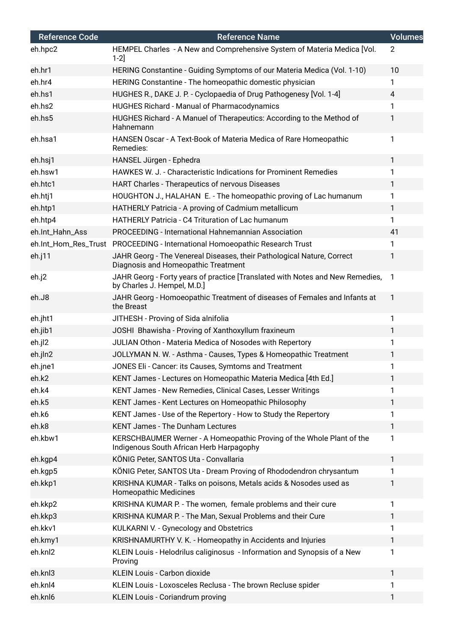| <b>Reference Code</b> | <b>Reference Name</b>                                                                                             | <b>Volumes</b> |
|-----------------------|-------------------------------------------------------------------------------------------------------------------|----------------|
| eh.hpc2               | HEMPEL Charles - A New and Comprehensive System of Materia Medica [Vol.<br>$1-2$                                  | $\overline{2}$ |
| eh.hr1                | HERING Constantine - Guiding Symptoms of our Materia Medica (Vol. 1-10)                                           | 10             |
| eh.hr4                | HERING Constantine - The homeopathic domestic physician                                                           | 1.             |
| eh.hs1                | HUGHES R., DAKE J. P. - Cyclopaedia of Drug Pathogenesy [Vol. 1-4]                                                | 4              |
| eh.hs2                | <b>HUGHES Richard - Manual of Pharmacodynamics</b>                                                                | 1              |
| eh.hs5                | HUGHES Richard - A Manuel of Therapeutics: According to the Method of<br>Hahnemann                                | 1              |
| eh.hsa1               | HANSEN Oscar - A Text-Book of Materia Medica of Rare Homeopathic<br>Remedies:                                     | 1              |
| eh.hsj1               | HANSEL Jürgen - Ephedra                                                                                           | $\mathbf{1}$   |
| eh.hsw1               | HAWKES W. J. - Characteristic Indications for Prominent Remedies                                                  | 1              |
| eh.htc1               | HART Charles - Therapeutics of nervous Diseases                                                                   | 1              |
| eh.htj1               | HOUGHTON J., HALAHAN E. - The homeopathic proving of Lac humanum                                                  | 1              |
| eh.htp1               | HATHERLY Patricia - A proving of Cadmium metallicum                                                               | 1              |
| eh.htp4               | HATHERLY Patricia - C4 Trituration of Lac humanum                                                                 | 1              |
| eh.Int_Hahn_Ass       | PROCEEDING - International Hahnemannian Association                                                               | 41             |
| eh.Int_Hom_Res_Trust  | PROCEEDING - International Homoeopathic Research Trust                                                            | 1              |
| eh.j11                | JAHR Georg - The Venereal Diseases, their Pathological Nature, Correct<br>Diagnosis and Homeopathic Treatment     | 1              |
| eh.j2                 | JAHR Georg - Forty years of practice [Translated with Notes and New Remedies,<br>by Charles J. Hempel, M.D.]      | $\mathbf{1}$   |
| eh.J8                 | JAHR Georg - Homoeopathic Treatment of diseases of Females and Infants at<br>the Breast                           | $\mathbf{1}$   |
| eh.jht1               | JITHESH - Proving of Sida alnifolia                                                                               | 1              |
| eh.jib1               | JOSHI Bhawisha - Proving of Xanthoxyllum fraxineum                                                                | 1              |
| eh.jl2                | <b>JULIAN Othon - Materia Medica of Nosodes with Repertory</b>                                                    | 1              |
| eh.jln2               | JOLLYMAN N. W. - Asthma - Causes, Types & Homeopathic Treatment                                                   | 1              |
| eh.jne1               | JONES Eli - Cancer: its Causes, Symtoms and Treatment                                                             | 1              |
| eh.k2                 | KENT James - Lectures on Homeopathic Materia Medica [4th Ed.]                                                     | 1              |
| eh.k4                 | KENT James - New Remedies, Clinical Cases, Lesser Writings                                                        | 1              |
| eh.k5                 | KENT James - Kent Lectures on Homeopathic Philosophy                                                              | 1              |
| eh.k6                 | KENT James - Use of the Repertory - How to Study the Repertory                                                    | 1              |
| eh.k8                 | <b>KENT James - The Dunham Lectures</b>                                                                           | 1              |
| eh.kbw1               | KERSCHBAUMER Werner - A Homeopathic Proving of the Whole Plant of the<br>Indigenous South African Herb Harpagophy | 1              |
| eh.kgp4               | KÖNIG Peter, SANTOS Uta - Convallaria                                                                             | 1              |
| eh.kgp5               | KÖNIG Peter, SANTOS Uta - Dream Proving of Rhododendron chrysantum                                                | 1              |
| eh.kkp1               | KRISHNA KUMAR - Talks on poisons, Metals acids & Nosodes used as<br><b>Homeopathic Medicines</b>                  | 1              |
| eh.kkp2               | KRISHNA KUMAR P. - The women, female problems and their cure                                                      | 1              |
| eh.kkp3               | KRISHNA KUMAR P. - The Man, Sexual Problems and their Cure                                                        | 1              |
| eh.kkv1               | KULKARNI V. - Gynecology and Obstetrics                                                                           | 1              |
| eh.kmy1               | KRISHNAMURTHY V. K. - Homeopathy in Accidents and Injuries                                                        | 1              |
| eh.knl2               | KLEIN Louis - Helodrilus caliginosus - Information and Synopsis of a New<br>Proving                               | 1              |
| eh.knl3               | KLEIN Louis - Carbon dioxide                                                                                      | 1              |
| eh.knl4               | KLEIN Louis - Loxosceles Reclusa - The brown Recluse spider                                                       | 1              |
| eh.knl6               | KLEIN Louis - Coriandrum proving                                                                                  | 1              |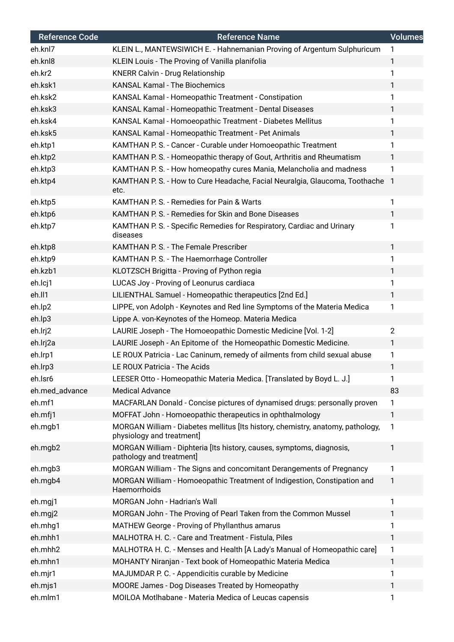| <b>Reference Code</b> | <b>Reference Name</b>                                                                                        | <b>Volumes</b> |
|-----------------------|--------------------------------------------------------------------------------------------------------------|----------------|
| eh.knl7               | KLEIN L., MANTEWSIWICH E. - Hahnemanian Proving of Argentum Sulphuricum                                      | 1              |
| eh.knl8               | KLEIN Louis - The Proving of Vanilla planifolia                                                              | 1              |
| eh.kr2                | <b>KNERR Calvin - Drug Relationship</b>                                                                      | 1              |
| eh.ksk1               | <b>KANSAL Kamal - The Biochemics</b>                                                                         | 1              |
| eh.ksk2               | KANSAL Kamal - Homeopathic Treatment - Constipation                                                          | 1              |
| eh.ksk3               | KANSAL Kamal - Homeopathic Treatment - Dental Diseases                                                       | 1              |
| eh.ksk4               | KANSAL Kamal - Homoeopathic Treatment - Diabetes Mellitus                                                    | 1              |
| eh.ksk5               | KANSAL Kamal - Homeopathic Treatment - Pet Animals                                                           | 1              |
| eh.ktp1               | KAMTHAN P. S. - Cancer - Curable under Homoeopathic Treatment                                                | 1              |
| eh.ktp2               | KAMTHAN P. S. - Homeopathic therapy of Gout, Arthritis and Rheumatism                                        | 1              |
| eh.ktp3               | KAMTHAN P.S. - How homeopathy cures Mania, Melancholia and madness                                           | 1              |
| eh.ktp4               | KAMTHAN P. S. - How to Cure Headache, Facial Neuralgia, Glaucoma, Toothache<br>etc.                          | $\overline{1}$ |
| eh.ktp5               | KAMTHAN P. S. - Remedies for Pain & Warts                                                                    | 1              |
| eh.ktp6               | KAMTHAN P. S. - Remedies for Skin and Bone Diseases                                                          | $\mathbf{1}$   |
| eh.ktp7               | KAMTHAN P. S. - Specific Remedies for Respiratory, Cardiac and Urinary<br>diseases                           | 1              |
| eh.ktp8               | KAMTHAN P. S. - The Female Prescriber                                                                        | $\mathbf{1}$   |
| eh.ktp9               | KAMTHAN P. S. - The Haemorrhage Controller                                                                   | 1              |
| eh.kzb1               | KLOTZSCH Brigitta - Proving of Python regia                                                                  | 1              |
| eh.lcj1               | LUCAS Joy - Proving of Leonurus cardiaca                                                                     | 1              |
| eh.II1                | LILIENTHAL Samuel - Homeopathic therapeutics [2nd Ed.]                                                       | 1              |
| eh.lp2                | LIPPE, von Adolph - Keynotes and Red line Symptoms of the Materia Medica                                     | 1              |
| eh.lp3                | Lippe A. von-Keynotes of the Homeop. Materia Medica                                                          |                |
| eh.lrj2               | LAURIE Joseph - The Homoeopathic Domestic Medicine [Vol. 1-2]                                                | $\overline{2}$ |
| eh.lrj2a              | LAURIE Joseph - An Epitome of the Homeopathic Domestic Medicine.                                             | 1              |
| eh.lrp1               | LE ROUX Patricia - Lac Caninum, remedy of ailments from child sexual abuse                                   | 1              |
| eh.lrp3               | LE ROUX Patricia - The Acids                                                                                 | 1              |
| eh.lsr6               | LEESER Otto - Homeopathic Materia Medica. [Translated by Boyd L. J.]                                         | 1              |
| eh.med_advance        | <b>Medical Advance</b>                                                                                       | 83             |
| eh.mf1                | MACFARLAN Donald - Concise pictures of dynamised drugs: personally proven                                    | 1              |
| eh.mfj1               | MOFFAT John - Homoeopathic therapeutics in ophthalmology                                                     | 1              |
| eh.mgb1               | MORGAN William - Diabetes mellitus [Its history, chemistry, anatomy, pathology,<br>physiology and treatment] | 1              |
| eh.mgb2               | MORGAN William - Diphteria [Its history, causes, symptoms, diagnosis,<br>pathology and treatment]            | 1              |
| eh.mgb3               | MORGAN William - The Signs and concomitant Derangements of Pregnancy                                         | 1              |
| eh.mgb4               | MORGAN William - Homoeopathic Treatment of Indigestion, Constipation and<br>Haemorrhoids                     | 1              |
| eh.mgj1               | MORGAN John - Hadrian's Wall                                                                                 | 1              |
| eh.mgj2               | MORGAN John - The Proving of Pearl Taken from the Common Mussel                                              | 1              |
| eh.mhg1               | MATHEW George - Proving of Phyllanthus amarus                                                                | 1              |
| eh.mhh1               | MALHOTRA H. C. - Care and Treatment - Fistula, Piles                                                         | 1              |
| eh.mhh2               | MALHOTRA H. C. - Menses and Health [A Lady's Manual of Homeopathic care]                                     | 1              |
| eh.mhn1               | MOHANTY Niranjan - Text book of Homeopathic Materia Medica                                                   | 1              |
| eh.mjr1               | MAJUMDAR P. C. - Appendicitis curable by Medicine                                                            | 1              |
| eh.mjs1               | MOORE James - Dog Diseases Treated by Homeopathy                                                             | 1              |
| eh.mlm1               | MOILOA Motlhabane - Materia Medica of Leucas capensis                                                        | 1              |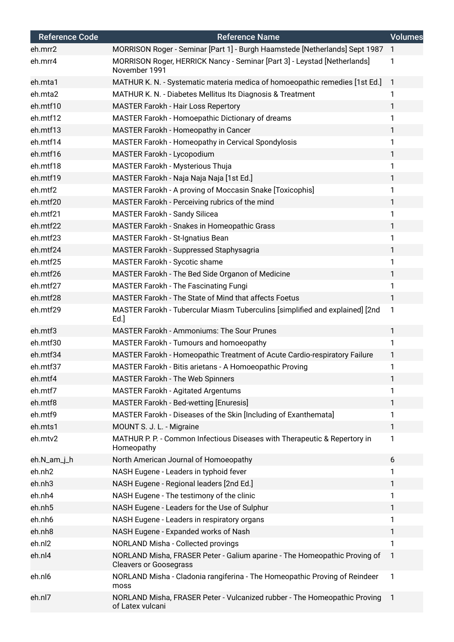| Reference Code | <b>Reference Name</b>                                                                                      | <b>Volumes</b> |
|----------------|------------------------------------------------------------------------------------------------------------|----------------|
| eh.mrr2        | MORRISON Roger - Seminar [Part 1] - Burgh Haamstede [Netherlands] Sept 1987                                | -1             |
| eh.mrr4        | MORRISON Roger, HERRICK Nancy - Seminar [Part 3] - Leystad [Netherlands]<br>November 1991                  | 1              |
| eh.mta1        | MATHUR K. N. - Systematic materia medica of homoeopathic remedies [1st Ed.]                                | $\mathbf{1}$   |
| eh.mta2        | MATHUR K. N. - Diabetes Mellitus Its Diagnosis & Treatment                                                 | 1              |
| eh.mtf10       | <b>MASTER Farokh - Hair Loss Repertory</b>                                                                 | 1              |
| eh.mtf12       | MASTER Farokh - Homoepathic Dictionary of dreams                                                           | 1              |
| eh.mtf13       | MASTER Farokh - Homeopathy in Cancer                                                                       | 1              |
| eh.mtf14       | <b>MASTER Farokh - Homeopathy in Cervical Spondylosis</b>                                                  | 1              |
| eh.mtf16       | MASTER Farokh - Lycopodium                                                                                 | 1              |
| eh.mtf18       | MASTER Farokh - Mysterious Thuja                                                                           | 1              |
| eh.mtf19       | MASTER Farokh - Naja Naja Naja [1st Ed.]                                                                   | 1              |
| eh.mtf2        | MASTER Farokh - A proving of Moccasin Snake [Toxicophis]                                                   | 1              |
| eh.mtf20       | MASTER Farokh - Perceiving rubrics of the mind                                                             | 1              |
| eh.mtf21       | <b>MASTER Farokh - Sandy Silicea</b>                                                                       | 1              |
| eh.mtf22       | MASTER Farokh - Snakes in Homeopathic Grass                                                                | 1              |
| eh.mtf23       | MASTER Farokh - St-Ignatius Bean                                                                           | 1              |
| eh.mtf24       | MASTER Farokh - Suppressed Staphysagria                                                                    | 1              |
| eh.mtf25       | MASTER Farokh - Sycotic shame                                                                              | 1              |
| eh.mtf26       | MASTER Farokh - The Bed Side Organon of Medicine                                                           | 1              |
| eh.mtf27       | <b>MASTER Farokh - The Fascinating Fungi</b>                                                               | 1              |
| eh.mtf28       | MASTER Farokh - The State of Mind that affects Foetus                                                      | 1              |
| eh.mtf29       | MASTER Farokh - Tubercular Miasm Tuberculins [simplified and explained] [2nd<br>Ed.                        | 1              |
| eh.mtf3        | <b>MASTER Farokh - Ammoniums: The Sour Prunes</b>                                                          | 1              |
| eh.mtf30       | MASTER Farokh - Tumours and homoeopathy                                                                    | 1              |
| eh.mtf34       | MASTER Farokh - Homeopathic Treatment of Acute Cardio-respiratory Failure                                  | 1              |
| eh.mtf37       | MASTER Farokh - Bitis arietans - A Homoeopathic Proving                                                    | 1              |
| eh.mtf4        | <b>MASTER Farokh - The Web Spinners</b>                                                                    | 1              |
| eh.mtf7        | <b>MASTER Farokh - Agitated Argentums</b>                                                                  | 1              |
| eh.mtf8        | MASTER Farokh - Bed-wetting [Enuresis]                                                                     | 1              |
| eh.mtf9        | MASTER Farokh - Diseases of the Skin [Including of Exanthemata]                                            | 1              |
| eh.mts1        | MOUNT S. J. L. - Migraine                                                                                  | 1              |
| eh.mtv2        | MATHUR P. P. - Common Infectious Diseases with Therapeutic & Repertory in<br>Homeopathy                    | 1              |
| eh.N_am_j_h    | North American Journal of Homoeopathy                                                                      | 6              |
| eh.nh2         | NASH Eugene - Leaders in typhoid fever                                                                     | 1              |
| eh.nh3         | NASH Eugene - Regional leaders [2nd Ed.]                                                                   | 1              |
| eh.nh4         | NASH Eugene - The testimony of the clinic                                                                  | 1              |
| eh.nh5         | NASH Eugene - Leaders for the Use of Sulphur                                                               | 1              |
| eh.nh6         | NASH Eugene - Leaders in respiratory organs                                                                | 1              |
| eh.nh8         | NASH Eugene - Expanded works of Nash                                                                       | 1              |
| eh.nl2         | <b>NORLAND Misha - Collected provings</b>                                                                  | 1              |
| eh.nl4         | NORLAND Misha, FRASER Peter - Galium aparine - The Homeopathic Proving of<br><b>Cleavers or Goosegrass</b> | 1              |
| eh.nl6         | NORLAND Misha - Cladonia rangiferina - The Homeopathic Proving of Reindeer<br>moss                         | 1              |
| eh.nl7         | NORLAND Misha, FRASER Peter - Vulcanized rubber - The Homeopathic Proving<br>of Latex vulcani              | -1             |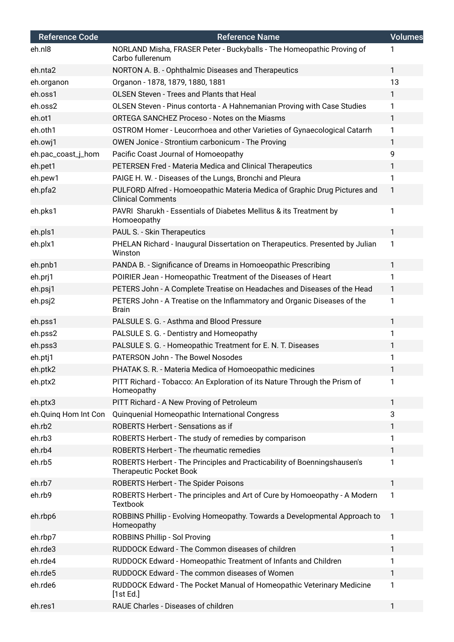| <b>Reference Code</b> | <b>Reference Name</b>                                                                                      | <b>Volumes</b> |
|-----------------------|------------------------------------------------------------------------------------------------------------|----------------|
| eh.nl8                | NORLAND Misha, FRASER Peter - Buckyballs - The Homeopathic Proving of<br>Carbo fullerenum                  | 1.             |
| eh.nta2               | NORTON A. B. - Ophthalmic Diseases and Therapeutics                                                        | $\mathbf{1}$   |
| eh.organon            | Organon - 1878, 1879, 1880, 1881                                                                           | 13             |
| eh.oss1               | <b>OLSEN Steven - Trees and Plants that Heal</b>                                                           | $\mathbf{1}$   |
| eh.oss2               | OLSEN Steven - Pinus contorta - A Hahnemanian Proving with Case Studies                                    | $\mathbf{1}$   |
| eh.ot1                | <b>ORTEGA SANCHEZ Proceso - Notes on the Miasms</b>                                                        | $\mathbf{1}$   |
| eh.oth1               | OSTROM Homer - Leucorrhoea and other Varieties of Gynaecological Catarrh                                   | $\mathbf{1}$   |
| eh.owj1               | <b>OWEN Jonice - Strontium carbonicum - The Proving</b>                                                    | $\mathbf{1}$   |
| eh.pac_coast_j_hom    | Pacific Coast Journal of Homoeopathy                                                                       | 9              |
| eh.pet1               | PETERSEN Fred - Materia Medica and Clinical Therapeutics                                                   | $\mathbf{1}$   |
| eh.pew1               | PAIGE H. W. - Diseases of the Lungs, Bronchi and Pleura                                                    | 1              |
| eh.pfa2               | PULFORD Alfred - Homoeopathic Materia Medica of Graphic Drug Pictures and<br><b>Clinical Comments</b>      | 1              |
| eh.pks1               | PAVRI Sharukh - Essentials of Diabetes Mellitus & its Treatment by<br>Homoeopathy                          | $\mathbf{1}$   |
| eh.pls1               | PAUL S. - Skin Therapeutics                                                                                | $\mathbf{1}$   |
| eh.plx1               | PHELAN Richard - Inaugural Dissertation on Therapeutics. Presented by Julian<br>Winston                    | 1              |
| eh.pnb1               | PANDA B. - Significance of Dreams in Homoeopathic Prescribing                                              | $\mathbf{1}$   |
| eh.prj1               | POIRIER Jean - Homeopathic Treatment of the Diseases of Heart                                              | 1              |
| eh.psj1               | PETERS John - A Complete Treatise on Headaches and Diseases of the Head                                    | $\mathbf{1}$   |
| eh.psj2               | PETERS John - A Treatise on the Inflammatory and Organic Diseases of the<br><b>Brain</b>                   | $\mathbf{1}$   |
| eh.pss1               | PALSULE S. G. - Asthma and Blood Pressure                                                                  | $\mathbf{1}$   |
| eh.pss2               | PALSULE S. G. - Dentistry and Homeopathy                                                                   | 1              |
| eh.pss3               | PALSULE S. G. - Homeopathic Treatment for E. N. T. Diseases                                                | $\mathbf{1}$   |
| eh.ptj1               | PATERSON John - The Bowel Nosodes                                                                          | 1              |
| eh.ptk2               | <b>PHATAK S. R. - Materia Medica of Homoeopathic medicines</b>                                             | 1              |
| eh.ptx2               | PITT Richard - Tobacco: An Exploration of its Nature Through the Prism of<br>Homeopathy                    | 1              |
| eh.ptx3               | PITT Richard - A New Proving of Petroleum                                                                  | $\mathbf{1}$   |
| eh.Quinq Hom Int Con  | Quinquenial Homeopathic International Congress                                                             | 3              |
| eh.rb2                | ROBERTS Herbert - Sensations as if                                                                         | 1              |
| eh.rb3                | ROBERTS Herbert - The study of remedies by comparison                                                      | 1              |
| eh.rb4                | ROBERTS Herbert - The rheumatic remedies                                                                   | 1              |
| eh.rb5                | ROBERTS Herbert - The Principles and Practicability of Boenningshausen's<br><b>Therapeutic Pocket Book</b> | 1              |
| eh.rb7                | ROBERTS Herbert - The Spider Poisons                                                                       | $\mathbf{1}$   |
| eh.rb9                | ROBERTS Herbert - The principles and Art of Cure by Homoeopathy - A Modern<br><b>Textbook</b>              | 1              |
| eh.rbp6               | ROBBINS Phillip - Evolving Homeopathy. Towards a Developmental Approach to<br>Homeopathy                   | 1              |
| eh.rbp7               | ROBBINS Phillip - Sol Proving                                                                              | 1              |
| eh.rde3               | RUDDOCK Edward - The Common diseases of children                                                           | $\mathbf{1}$   |
| eh.rde4               | RUDDOCK Edward - Homeopathic Treatment of Infants and Children                                             | 1.             |
| eh.rde5               | RUDDOCK Edward - The common diseases of Women                                                              | $\mathbf{1}$   |
| eh.rde6               | RUDDOCK Edward - The Pocket Manual of Homeopathic Veterinary Medicine<br>[1st Ed.]                         | 1              |
| eh.res1               | RAUE Charles - Diseases of children                                                                        | 1              |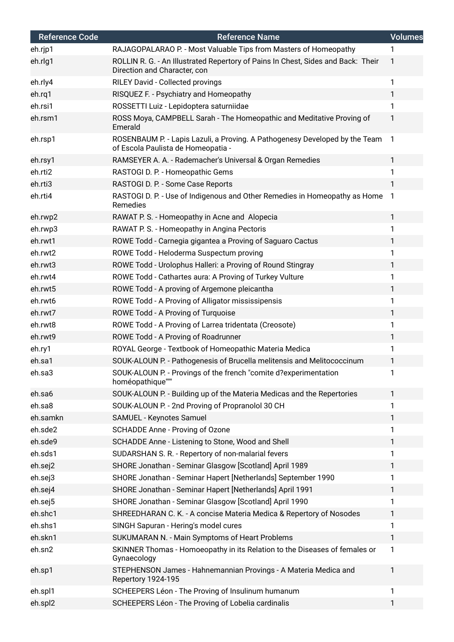| <b>Reference Code</b> | <b>Reference Name</b>                                                                                             | <b>Volumes</b> |
|-----------------------|-------------------------------------------------------------------------------------------------------------------|----------------|
| eh.rjp1               | RAJAGOPALARAO P. - Most Valuable Tips from Masters of Homeopathy                                                  | 1              |
| eh.rlg1               | ROLLIN R. G. - An Illustrated Repertory of Pains In Chest, Sides and Back: Their<br>Direction and Character, con  | $\mathbf{1}$   |
| eh.rly4               | RILEY David - Collected provings                                                                                  | 1              |
| eh.rq1                | RISQUEZ F. - Psychiatry and Homeopathy                                                                            | 1              |
| eh.rsi1               | ROSSETTI Luiz - Lepidoptera saturniidae                                                                           | $\mathbf{1}$   |
| eh.rsm1               | ROSS Moya, CAMPBELL Sarah - The Homeopathic and Meditative Proving of<br>Emerald                                  | 1              |
| eh.rsp1               | ROSENBAUM P. - Lapis Lazuli, a Proving. A Pathogenesy Developed by the Team<br>of Escola Paulista de Homeopatia - | $\mathbf{1}$   |
| eh.rsy1               | RAMSEYER A. A. - Rademacher's Universal & Organ Remedies                                                          | $\mathbf{1}$   |
| eh.rti2               | RASTOGI D. P. - Homeopathic Gems                                                                                  | 1              |
| eh.rti3               | RASTOGI D. P. - Some Case Reports                                                                                 | 1              |
| eh.rti4               | RASTOGI D. P. - Use of Indigenous and Other Remedies in Homeopathy as Home<br>Remedies                            | $\mathbf{1}$   |
| eh.rwp2               | RAWAT P. S. - Homeopathy in Acne and Alopecia                                                                     | $\mathbf{1}$   |
| eh.rwp3               | RAWAT P. S. - Homeopathy in Angina Pectoris                                                                       | 1              |
| eh.rwt1               | ROWE Todd - Carnegia gigantea a Proving of Saguaro Cactus                                                         | 1              |
| eh.rwt2               | ROWE Todd - Heloderma Suspectum proving                                                                           | $\mathbf{1}$   |
| eh.rwt3               | ROWE Todd - Urolophus Halleri: a Proving of Round Stingray                                                        | $\mathbf{1}$   |
| eh.rwt4               | ROWE Todd - Cathartes aura: A Proving of Turkey Vulture                                                           | 1              |
| eh.rwt5               | ROWE Todd - A proving of Argemone pleicantha                                                                      | 1              |
| eh.rwt6               | ROWE Todd - A Proving of Alligator mississipensis                                                                 | 1              |
| eh.rwt7               | ROWE Todd - A Proving of Turquoise                                                                                | 1              |
| eh.rwt8               | ROWE Todd - A Proving of Larrea tridentata (Creosote)                                                             | $\mathbf{1}$   |
| eh.rwt9               | ROWE Todd - A Proving of Roadrunner                                                                               | 1              |
| eh.ry1                | ROYAL George - Textbook of Homeopathic Materia Medica                                                             | 1              |
| eh.sa1                | SOUK-ALOUN P. - Pathogenesis of Brucella melitensis and Melitococcinum                                            | 1              |
| eh.sa3                | SOUK-ALOUN P. - Provings of the french "comite d?experimentation<br>homéopathique""                               | 1              |
| eh.sa6                | SOUK-ALOUN P. - Building up of the Materia Medicas and the Repertories                                            | $\mathbf{1}$   |
| eh.sa8                | SOUK-ALOUN P. - 2nd Proving of Propranolol 30 CH                                                                  | 1              |
| eh.samkn              | SAMUEL - Keynotes Samuel                                                                                          | $\mathbf{1}$   |
| eh.sde2               | SCHADDE Anne - Proving of Ozone                                                                                   | 1              |
| eh.sde9               | SCHADDE Anne - Listening to Stone, Wood and Shell                                                                 | $\mathbf{1}$   |
| eh.sds1               | SUDARSHAN S. R. - Repertory of non-malarial fevers                                                                | 1              |
| eh.sej2               | SHORE Jonathan - Seminar Glasgow [Scotland] April 1989                                                            | $\mathbf{1}$   |
| eh.sej3               | SHORE Jonathan - Seminar Hapert [Netherlands] September 1990                                                      | 1              |
| eh.sej4               | SHORE Jonathan - Seminar Hapert [Netherlands] April 1991                                                          | $\mathbf{1}$   |
| eh.sej5               | SHORE Jonathan - Seminar Glasgow [Scotland] April 1990                                                            | 1              |
| eh.shc1               | SHREEDHARAN C. K. - A concise Materia Medica & Repertory of Nosodes                                               | 1              |
| eh.shs1               | SINGH Sapuran - Hering's model cures                                                                              | 1              |
| eh.skn1               | SUKUMARAN N. - Main Symptoms of Heart Problems                                                                    | $\mathbf{1}$   |
| eh.sn2                | SKINNER Thomas - Homoeopathy in its Relation to the Diseases of females or<br>Gynaecology                         | $\mathbf{1}$   |
| eh.sp1                | STEPHENSON James - Hahnemannian Provings - A Materia Medica and<br><b>Repertory 1924-195</b>                      | 1              |
| eh.spl1               | SCHEEPERS Léon - The Proving of Insulinum humanum                                                                 | 1              |
| eh.spl2               | SCHEEPERS Léon - The Proving of Lobelia cardinalis                                                                | 1              |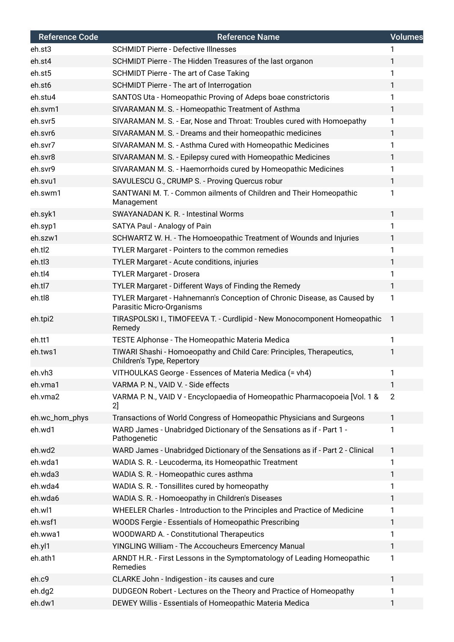| <b>Reference Code</b> | <b>Reference Name</b>                                                                                 | <b>Volumes</b> |
|-----------------------|-------------------------------------------------------------------------------------------------------|----------------|
| eh.st3                | <b>SCHMIDT Pierre - Defective Illnesses</b>                                                           |                |
| eh.st4                | SCHMIDT Pierre - The Hidden Treasures of the last organon                                             | 1              |
| eh.st5                | SCHMIDT Pierre - The art of Case Taking                                                               | 1              |
| eh.st6                | SCHMIDT Pierre - The art of Interrogation                                                             | 1              |
| eh.stu4               | SANTOS Uta - Homeopathic Proving of Adeps boae constrictoris                                          | 1              |
| eh.svm1               | SIVARAMAN M. S. - Homeopathic Treatment of Asthma                                                     | 1              |
| eh.svr5               | SIVARAMAN M. S. - Ear, Nose and Throat: Troubles cured with Homoepathy                                | 1              |
| eh.svr6               | SIVARAMAN M. S. - Dreams and their homeopathic medicines                                              | 1              |
| eh.svr7               | SIVARAMAN M. S. - Asthma Cured with Homeopathic Medicines                                             | 1              |
| eh.svr8               | SIVARAMAN M. S. - Epilepsy cured with Homeopathic Medicines                                           | 1              |
| eh.svr9               | SIVARAMAN M. S. - Haemorrhoids cured by Homeopathic Medicines                                         | 1              |
| eh.svu1               | SAVULESCU G., CRUMP S. - Proving Quercus robur                                                        | 1              |
| eh.swm1               | SANTWANI M. T. - Common ailments of Children and Their Homeopathic<br>Management                      | 1              |
| eh.syk1               | SWAYANADAN K. R. - Intestinal Worms                                                                   | 1              |
| eh.syp1               | SATYA Paul - Analogy of Pain                                                                          | 1              |
| eh.szw1               | SCHWARTZ W. H. - The Homoeopathic Treatment of Wounds and Injuries                                    | 1.             |
| eh.tl2                | TYLER Margaret - Pointers to the common remedies                                                      | 1              |
| eh.tl3                | TYLER Margaret - Acute conditions, injuries                                                           | 1              |
| eh.tl4                | <b>TYLER Margaret - Drosera</b>                                                                       | 1              |
| eh.tl7                | TYLER Margaret - Different Ways of Finding the Remedy                                                 | 1              |
| eh.tl8                | TYLER Margaret - Hahnemann's Conception of Chronic Disease, as Caused by<br>Parasitic Micro-Organisms | 1              |
| eh.tpi2               | TIRASPOLSKI I., TIMOFEEVA T. - Curdlipid - New Monocomponent Homeopathic<br>Remedy                    | -1             |
| eh.tt1                | TESTE Alphonse - The Homeopathic Materia Medica                                                       | 1              |
| eh.tws1               | TIWARI Shashi - Homoeopathy and Child Care: Principles, Therapeutics,<br>Children's Type, Repertory   | 1              |
| eh.vh3                | VITHOULKAS George - Essences of Materia Medica (= vh4)                                                | 1              |
| eh.vma1               | VARMA P. N., VAID V. - Side effects                                                                   | 1              |
| eh.vma2               | VARMA P. N., VAID V - Encyclopaedia of Homeopathic Pharmacopoeia [Vol. 1 &<br>2]                      | $\overline{2}$ |
| eh.wc_hom_phys        | Transactions of World Congress of Homeopathic Physicians and Surgeons                                 | 1              |
| eh.wd1                | WARD James - Unabridged Dictionary of the Sensations as if - Part 1 -<br>Pathogenetic                 | 1              |
| eh.wd2                | WARD James - Unabridged Dictionary of the Sensations as if - Part 2 - Clinical                        | 1              |
| eh.wda1               | WADIA S. R. - Leucoderma, its Homeopathic Treatment                                                   | 1              |
| eh.wda3               | WADIA S. R. - Homeopathic cures asthma                                                                | 1              |
| eh.wda4               | WADIA S. R. - Tonsillites cured by homeopathy                                                         | 1              |
| eh.wda6               | WADIA S. R. - Homoeopathy in Children's Diseases                                                      | 1              |
| eh.wl1                | WHEELER Charles - Introduction to the Principles and Practice of Medicine                             | 1              |
| eh.wsf1               | WOODS Fergie - Essentials of Homeopathic Prescribing                                                  | 1              |
| eh.wwa1               | <b>WOODWARD A. - Constitutional Therapeutics</b>                                                      | 1              |
| eh.yl1                | YINGLING William - The Accoucheurs Emercency Manual                                                   | 1              |
| eh.ath1               | ARNDT H.R. - First Lessons in the Symptomatology of Leading Homeopathic<br>Remedies                   | 1              |
| eh.c9                 | CLARKE John - Indigestion - its causes and cure                                                       | 1              |
| eh.dg2                | DUDGEON Robert - Lectures on the Theory and Practice of Homeopathy                                    | 1              |
| eh.dw1                | DEWEY Willis - Essentials of Homeopathic Materia Medica                                               | 1              |